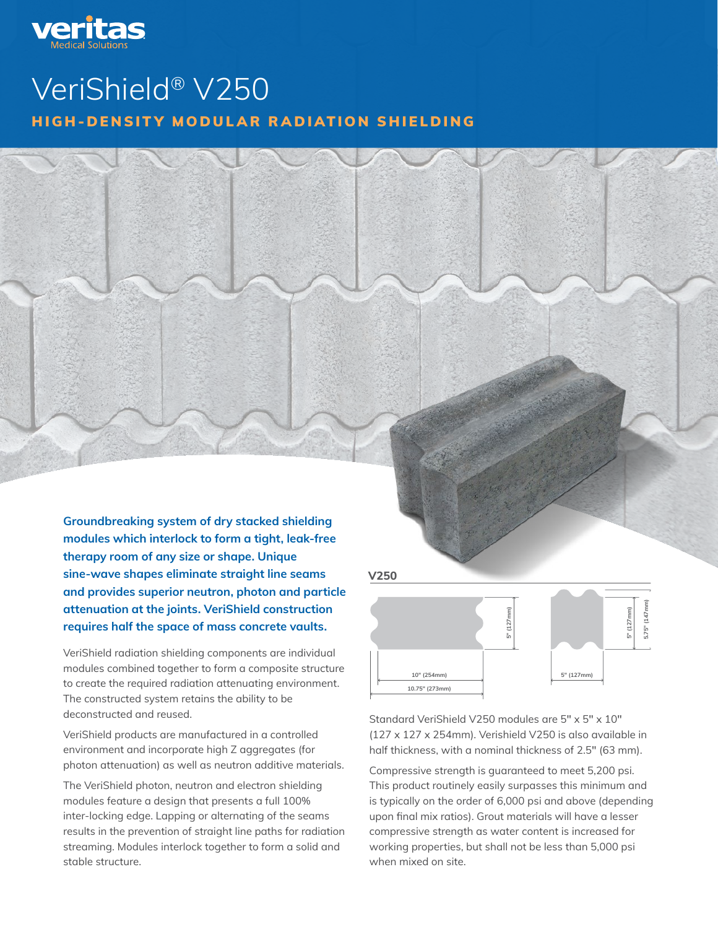

# VeriShield® V250 HIGH-DENSITY MODULAR RADIATION SHIELDING

Groundbreaking system of dry stacked shielding modules which interlock to form a tight, leak-free therapy room of any size or shape. Unique sine-wave shapes eliminate straight line seams and provides superior neutron, photon and particle attenuation at the joints. VeriShield construction requires half the space of mass concrete vaults.

VeriShield radiation shielding components are individual modules combined together to form a composite structure to create the required radiation attenuating environment. The constructed system retains the ability to be deconstructed and reused.

VeriShield products are manufactured in a controlled environment and incorporate high Z aggregates (for photon attenuation) as well as neutron additive materials.

The VeriShield photon, neutron and electron shielding modules feature a design that presents a full 100% inter-locking edge. Lapping or alternating of the seams results in the prevention of straight line paths for radiation streaming. Modules interlock together to form a solid and stable structure.

**V250**



half thickness, with a nominal thickness of 2.5" (63 mm). **V250HT** Standard VeriShield V250 modules are 5″ x 5″ x 10″ (127 x 127 x 254mm). Verishield V250 is also available in

**2.5" (64mm) 10.75" (273mm)** upon final mix ratios). Grout materials will have a lesser **5" (127mm) 5.75" (147mm) 10" (254mm)** is typically on the order of 6,000 psi and above (depending Compressive strength is guaranteed to meet 5,200 psi. This product routinely easily surpasses this minimum and compressive strength as water content is increased for working properties, but shall not be less than 5,000 psi when mixed on site.